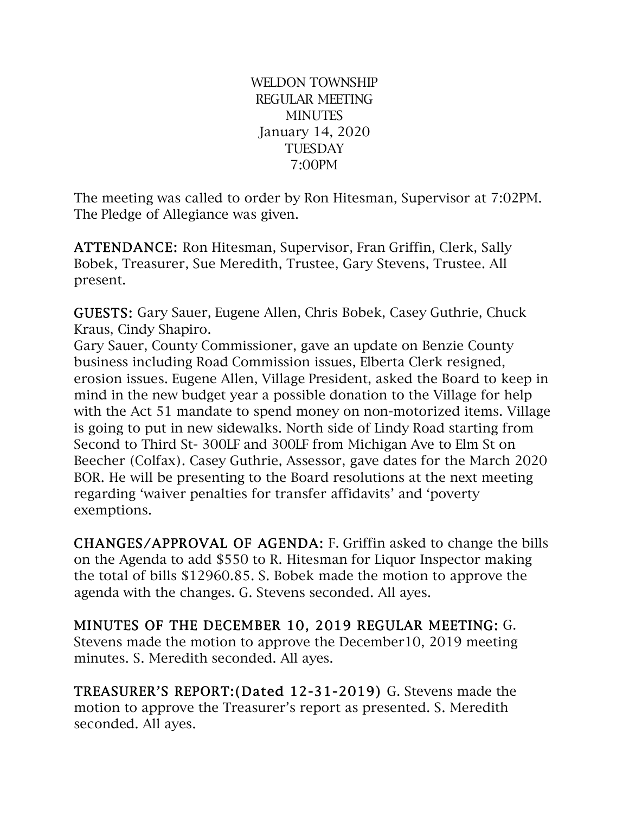WELDON TOWNSHIP REGULAR MEETING **MINUTES** January 14, 2020 **TUESDAY** 7:00PM

The meeting was called to order by Ron Hitesman, Supervisor at 7:02PM. The Pledge of Allegiance was given.

ATTENDANCE: Ron Hitesman, Supervisor, Fran Griffin, Clerk, Sally Bobek, Treasurer, Sue Meredith, Trustee, Gary Stevens, Trustee. All present.

GUESTS: Gary Sauer, Eugene Allen, Chris Bobek, Casey Guthrie, Chuck Kraus, Cindy Shapiro.

Gary Sauer, County Commissioner, gave an update on Benzie County business including Road Commission issues, Elberta Clerk resigned, erosion issues. Eugene Allen, Village President, asked the Board to keep in mind in the new budget year a possible donation to the Village for help with the Act 51 mandate to spend money on non-motorized items. Village is going to put in new sidewalks. North side of Lindy Road starting from Second to Third St- 300LF and 300LF from Michigan Ave to Elm St on Beecher (Colfax). Casey Guthrie, Assessor, gave dates for the March 2020 BOR. He will be presenting to the Board resolutions at the next meeting regarding 'waiver penalties for transfer affidavits' and 'poverty exemptions.

CHANGES/APPROVAL OF AGENDA: F. Griffin asked to change the bills on the Agenda to add \$550 to R. Hitesman for Liquor Inspector making the total of bills \$12960.85. S. Bobek made the motion to approve the agenda with the changes. G. Stevens seconded. All ayes.

MINUTES OF THE DECEMBER 10, 2019 REGULAR MEETING: G. Stevens made the motion to approve the December10, 2019 meeting minutes. S. Meredith seconded. All ayes.

TREASURER'S REPORT:(Dated 12-31-2019) G. Stevens made the motion to approve the Treasurer's report as presented. S. Meredith seconded. All ayes.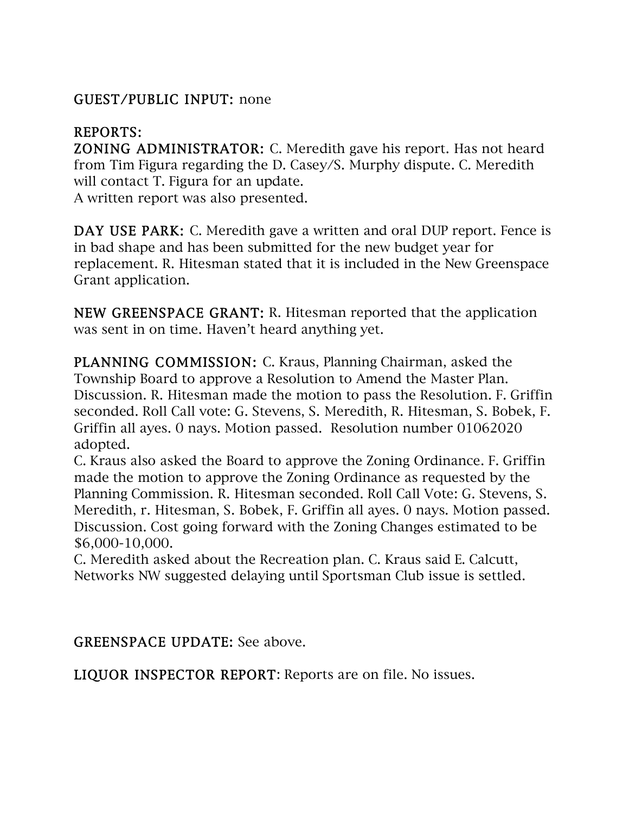## GUEST/PUBLIC INPUT: none

## REPORTS:

ZONING ADMINISTRATOR: C. Meredith gave his report. Has not heard from Tim Figura regarding the D. Casey/S. Murphy dispute. C. Meredith will contact T. Figura for an update.

A written report was also presented.

DAY USE PARK: C. Meredith gave a written and oral DUP report. Fence is in bad shape and has been submitted for the new budget year for replacement. R. Hitesman stated that it is included in the New Greenspace Grant application.

NEW GREENSPACE GRANT: R. Hitesman reported that the application was sent in on time. Haven't heard anything yet.

PLANNING COMMISSION: C. Kraus, Planning Chairman, asked the Township Board to approve a Resolution to Amend the Master Plan. Discussion. R. Hitesman made the motion to pass the Resolution. F. Griffin seconded. Roll Call vote: G. Stevens, S. Meredith, R. Hitesman, S. Bobek, F. Griffin all ayes. 0 nays. Motion passed. Resolution number 01062020 adopted.

C. Kraus also asked the Board to approve the Zoning Ordinance. F. Griffin made the motion to approve the Zoning Ordinance as requested by the Planning Commission. R. Hitesman seconded. Roll Call Vote: G. Stevens, S. Meredith, r. Hitesman, S. Bobek, F. Griffin all ayes. 0 nays. Motion passed. Discussion. Cost going forward with the Zoning Changes estimated to be \$6,000-10,000.

C. Meredith asked about the Recreation plan. C. Kraus said E. Calcutt, Networks NW suggested delaying until Sportsman Club issue is settled.

GREENSPACE UPDATE: See above.

LIQUOR INSPECTOR REPORT: Reports are on file. No issues.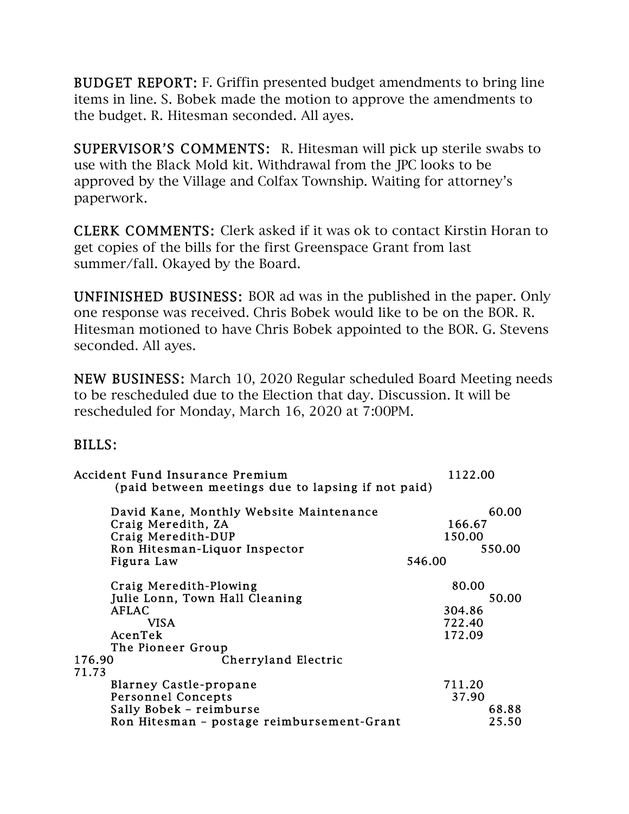BUDGET REPORT: F. Griffin presented budget amendments to bring line items in line. S. Bobek made the motion to approve the amendments to the budget. R. Hitesman seconded. All ayes.

SUPERVISOR'S COMMENTS: R. Hitesman will pick up sterile swabs to use with the Black Mold kit. Withdrawal from the JPC looks to be approved by the Village and Colfax Township. Waiting for attorney's paperwork.

CLERK COMMENTS: Clerk asked if it was ok to contact Kirstin Horan to get copies of the bills for the first Greenspace Grant from last summer/fall. Okayed by the Board.

UNFINISHED BUSINESS: BOR ad was in the published in the paper. Only one response was received. Chris Bobek would like to be on the BOR. R. Hitesman motioned to have Chris Bobek appointed to the BOR. G. Stevens seconded. All ayes.

NEW BUSINESS: March 10, 2020 Regular scheduled Board Meeting needs to be rescheduled due to the Election that day. Discussion. It will be rescheduled for Monday, March 16, 2020 at 7:00PM.

## BILLS:

| Accident Fund Insurance Premium<br>(paid between meetings due to lapsing if not paid) | 1122.00         |
|---------------------------------------------------------------------------------------|-----------------|
|                                                                                       |                 |
| David Kane, Monthly Website Maintenance<br>Craig Meredith, ZA                         | 60.00<br>166.67 |
| Craig Meredith-DUP                                                                    | 150.00          |
| Ron Hitesman-Liquor Inspector                                                         | 550.00          |
| Figura Law                                                                            | 546.00          |
| Craig Meredith-Plowing                                                                | 80.00           |
| Julie Lonn, Town Hall Cleaning                                                        | 50.00           |
| <b>AFLAC</b>                                                                          | 304.86          |
| <b>VISA</b>                                                                           | 722.40          |
| AcenTek                                                                               | 172.09          |
| The Pioneer Group                                                                     |                 |
| 176.90<br>Cherryland Electric<br>71.73                                                |                 |
| <b>Blarney Castle-propane</b>                                                         | 711.20          |
| <b>Personnel Concepts</b>                                                             | 37.90           |
| Sally Bobek - reimburse                                                               | 68.88           |
| Ron Hitesman - postage reimbursement-Grant                                            | 25.50           |